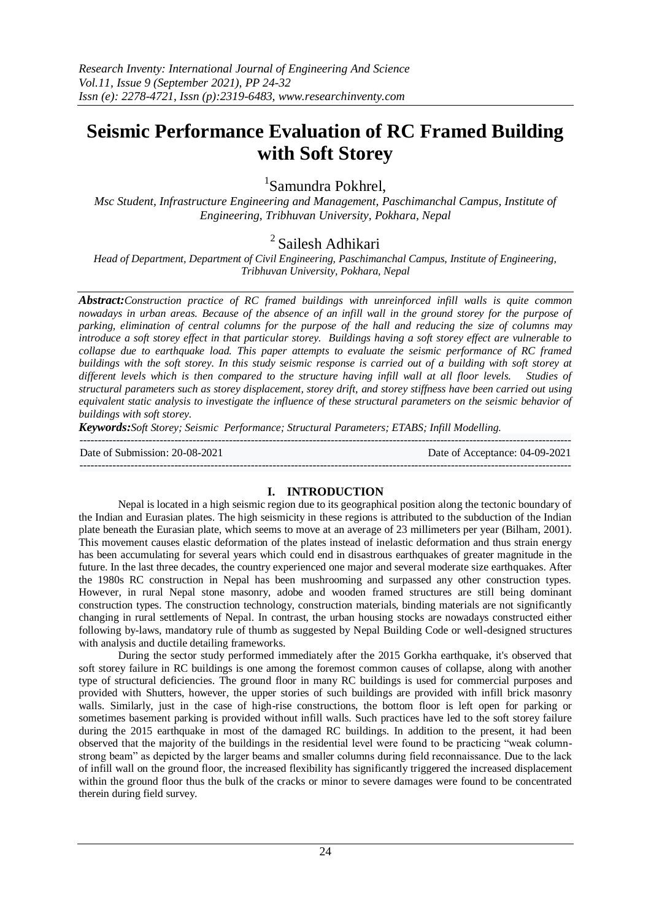# **Seismic Performance Evaluation of RC Framed Building with Soft Storey**

1 Samundra Pokhrel,

*Msc Student, Infrastructure Engineering and Management, Paschimanchal Campus, Institute of Engineering, Tribhuvan University, Pokhara, Nepal*

## <sup>2</sup> Sailesh Adhikari

*Head of Department, Department of Civil Engineering, Paschimanchal Campus, Institute of Engineering, Tribhuvan University, Pokhara, Nepal*

*Abstract:Construction practice of RC framed buildings with unreinforced infill walls is quite common nowadays in urban areas. Because of the absence of an infill wall in the ground storey for the purpose of parking, elimination of central columns for the purpose of the hall and reducing the size of columns may introduce a soft storey effect in that particular storey. Buildings having a soft storey effect are vulnerable to collapse due to earthquake load. This paper attempts to evaluate the seismic performance of RC framed buildings with the soft storey. In this study seismic response is carried out of a building with soft storey at different levels which is then compared to the structure having infill wall at all floor levels. Studies of structural parameters such as storey displacement, storey drift, and storey stiffness have been carried out using equivalent static analysis to investigate the influence of these structural parameters on the seismic behavior of buildings with soft storey.* 

*Keywords:Soft Storey; Seismic Performance; Structural Parameters; ETABS; Infill Modelling.*

| Date of Submission: 20-08-2021 | Date of Acceptance: 04-09-2021 |
|--------------------------------|--------------------------------|
|                                |                                |

## **I. INTRODUCTION**

Nepal is located in a high seismic region due to its geographical position along the tectonic boundary of the Indian and Eurasian plates. The high seismicity in these regions is attributed to the subduction of the Indian plate beneath the Eurasian plate, which seems to move at an average of 23 millimeters per year (Bilham, 2001). This movement causes elastic deformation of the plates instead of inelastic deformation and thus strain energy has been accumulating for several years which could end in disastrous earthquakes of greater magnitude in the future. In the last three decades, the country experienced one major and several moderate size earthquakes. After the 1980s RC construction in Nepal has been mushrooming and surpassed any other construction types. However, in rural Nepal stone masonry, adobe and wooden framed structures are still being dominant construction types. The construction technology, construction materials, binding materials are not significantly changing in rural settlements of Nepal. In contrast, the urban housing stocks are nowadays constructed either following by-laws, mandatory rule of thumb as suggested by Nepal Building Code or well-designed structures with analysis and ductile detailing frameworks.

During the sector study performed immediately after the 2015 Gorkha earthquake, it's observed that soft storey failure in RC buildings is one among the foremost common causes of collapse, along with another type of structural deficiencies. The ground floor in many RC buildings is used for commercial purposes and provided with Shutters, however, the upper stories of such buildings are provided with infill brick masonry walls. Similarly, just in the case of high-rise constructions, the bottom floor is left open for parking or sometimes basement parking is provided without infill walls. Such practices have led to the soft storey failure during the 2015 earthquake in most of the damaged RC buildings. In addition to the present, it had been observed that the majority of the buildings in the residential level were found to be practicing "weak columnstrong beam" as depicted by the larger beams and smaller columns during field reconnaissance. Due to the lack of infill wall on the ground floor, the increased flexibility has significantly triggered the increased displacement within the ground floor thus the bulk of the cracks or minor to severe damages were found to be concentrated therein during field survey.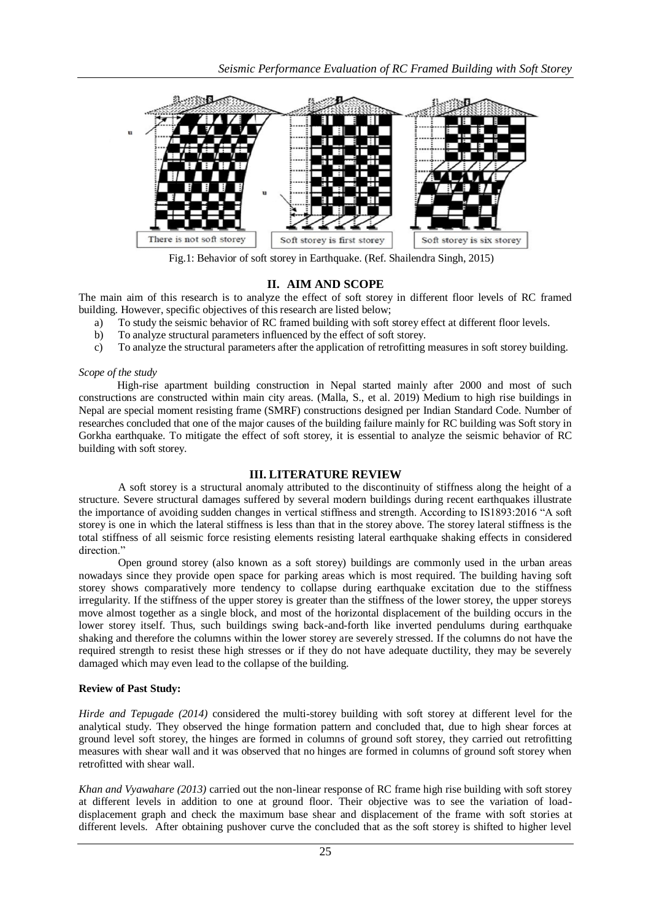

Fig.1: Behavior of soft storey in Earthquake. (Ref. Shailendra Singh, 2015)

## **II. AIM AND SCOPE**

The main aim of this research is to analyze the effect of soft storey in different floor levels of RC framed building. However, specific objectives of this research are listed below;

- a) To study the seismic behavior of RC framed building with soft storey effect at different floor levels.
- b) To analyze structural parameters influenced by the effect of soft storey.
- c) To analyze the structural parameters after the application of retrofitting measures in soft storey building.

#### *Scope of the study*

High-rise apartment building construction in Nepal started mainly after 2000 and most of such constructions are constructed within main city areas. (Malla, S., et al. 2019) Medium to high rise buildings in Nepal are special moment resisting frame (SMRF) constructions designed per Indian Standard Code. Number of researches concluded that one of the major causes of the building failure mainly for RC building was Soft story in Gorkha earthquake. To mitigate the effect of soft storey, it is essential to analyze the seismic behavior of RC building with soft storey.

## **III. LITERATURE REVIEW**

A soft storey is a structural anomaly attributed to the discontinuity of stiffness along the height of a structure. Severe structural damages suffered by several modern buildings during recent earthquakes illustrate the importance of avoiding sudden changes in vertical stiffness and strength. According to IS1893:2016 "A soft storey is one in which the lateral stiffness is less than that in the storey above. The storey lateral stiffness is the total stiffness of all seismic force resisting elements resisting lateral earthquake shaking effects in considered direction"

Open ground storey (also known as a soft storey) buildings are commonly used in the urban areas nowadays since they provide open space for parking areas which is most required. The building having soft storey shows comparatively more tendency to collapse during earthquake excitation due to the stiffness irregularity. If the stiffness of the upper storey is greater than the stiffness of the lower storey, the upper storeys move almost together as a single block, and most of the horizontal displacement of the building occurs in the lower storey itself. Thus, such buildings swing back-and-forth like inverted pendulums during earthquake shaking and therefore the columns within the lower storey are severely stressed. If the columns do not have the required strength to resist these high stresses or if they do not have adequate ductility, they may be severely damaged which may even lead to the collapse of the building.

## **Review of Past Study:**

*Hirde and Tepugade (2014)* considered the multi-storey building with soft storey at different level for the analytical study. They observed the hinge formation pattern and concluded that, due to high shear forces at ground level soft storey, the hinges are formed in columns of ground soft storey, they carried out retrofitting measures with shear wall and it was observed that no hinges are formed in columns of ground soft storey when retrofitted with shear wall.

*Khan and Vyawahare (2013)* carried out the non-linear response of RC frame high rise building with soft storey at different levels in addition to one at ground floor. Their objective was to see the variation of loaddisplacement graph and check the maximum base shear and displacement of the frame with soft stories at different levels. After obtaining pushover curve the concluded that as the soft storey is shifted to higher level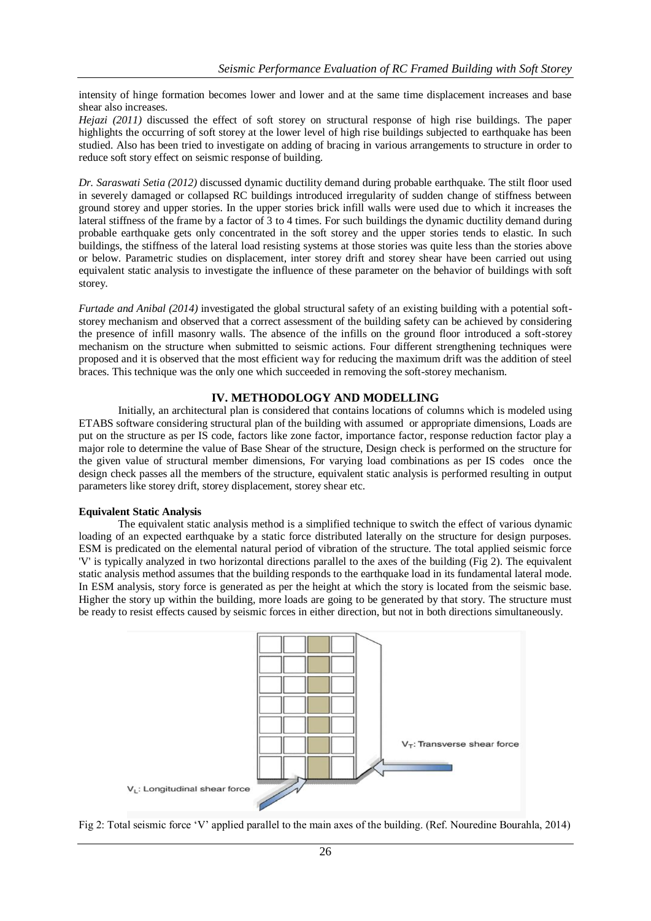intensity of hinge formation becomes lower and lower and at the same time displacement increases and base shear also increases.

*Hejazi (2011)* discussed the effect of soft storey on structural response of high rise buildings. The paper highlights the occurring of soft storey at the lower level of high rise buildings subjected to earthquake has been studied. Also has been tried to investigate on adding of bracing in various arrangements to structure in order to reduce soft story effect on seismic response of building.

*Dr. Saraswati Setia (2012)* discussed dynamic ductility demand during probable earthquake. The stilt floor used in severely damaged or collapsed RC buildings introduced irregularity of sudden change of stiffness between ground storey and upper stories. In the upper stories brick infill walls were used due to which it increases the lateral stiffness of the frame by a factor of 3 to 4 times. For such buildings the dynamic ductility demand during probable earthquake gets only concentrated in the soft storey and the upper stories tends to elastic. In such buildings, the stiffness of the lateral load resisting systems at those stories was quite less than the stories above or below. Parametric studies on displacement, inter storey drift and storey shear have been carried out using equivalent static analysis to investigate the influence of these parameter on the behavior of buildings with soft storey.

*Furtade and Anibal (2014)* investigated the global structural safety of an existing building with a potential softstorey mechanism and observed that a correct assessment of the building safety can be achieved by considering the presence of infill masonry walls. The absence of the infills on the ground floor introduced a soft-storey mechanism on the structure when submitted to seismic actions. Four different strengthening techniques were proposed and it is observed that the most efficient way for reducing the maximum drift was the addition of steel braces. This technique was the only one which succeeded in removing the soft-storey mechanism.

#### **IV. METHODOLOGY AND MODELLING**

Initially, an architectural plan is considered that contains locations of columns which is modeled using ETABS software considering structural plan of the building with assumed or appropriate dimensions, Loads are put on the structure as per IS code, factors like zone factor, importance factor, response reduction factor play a major role to determine the value of Base Shear of the structure, Design check is performed on the structure for the given value of structural member dimensions, For varying load combinations as per IS codes once the design check passes all the members of the structure, equivalent static analysis is performed resulting in output parameters like storey drift, storey displacement, storey shear etc.

#### **Equivalent Static Analysis**

The equivalent static analysis method is a simplified technique to switch the effect of various dynamic loading of an expected earthquake by a static force distributed laterally on the structure for design purposes. ESM is predicated on the elemental natural period of vibration of the structure. The total applied seismic force 'V' is typically analyzed in two horizontal directions parallel to the axes of the building (Fig 2). The equivalent static analysis method assumes that the building responds to the earthquake load in its fundamental lateral mode. In ESM analysis, story force is generated as per the height at which the story is located from the seismic base. Higher the story up within the building, more loads are going to be generated by that story. The structure must be ready to resist effects caused by seismic forces in either direction, but not in both directions simultaneously.



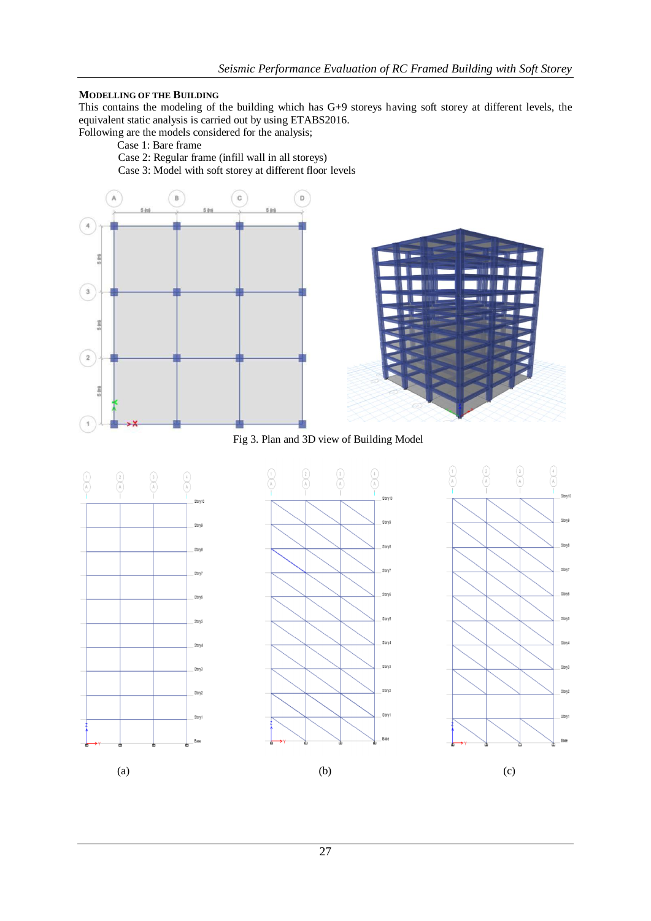## **MODELLING OF THE BUILDING**

This contains the modeling of the building which has G+9 storeys having soft storey at different levels, the equivalent static analysis is carried out by using ETABS2016.

Following are the models considered for the analysis;

Case 1: Bare frame

Case 2: Regular frame (infill wall in all storeys) Case 3: Model with soft storey at different floor levels



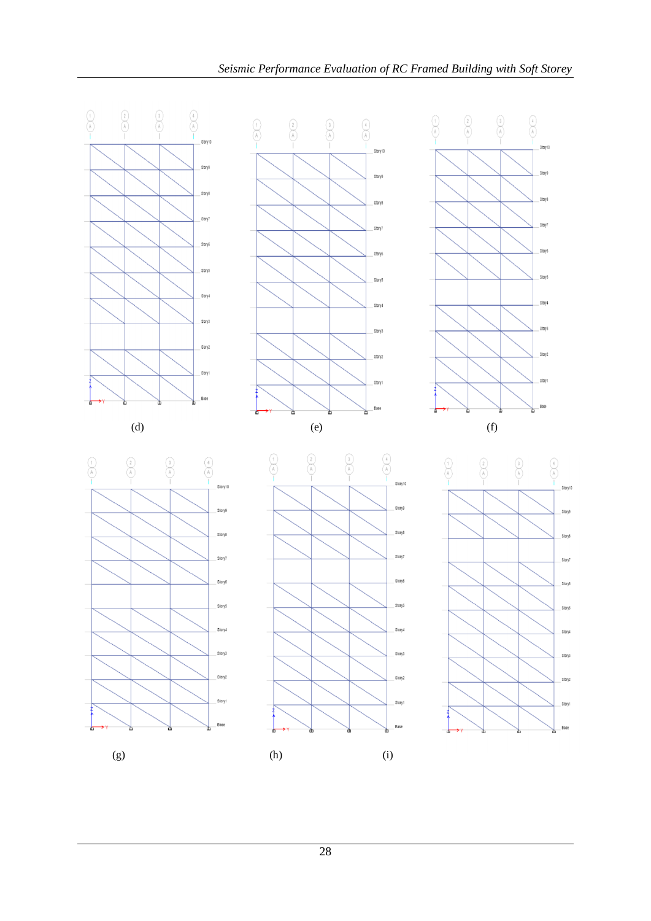

28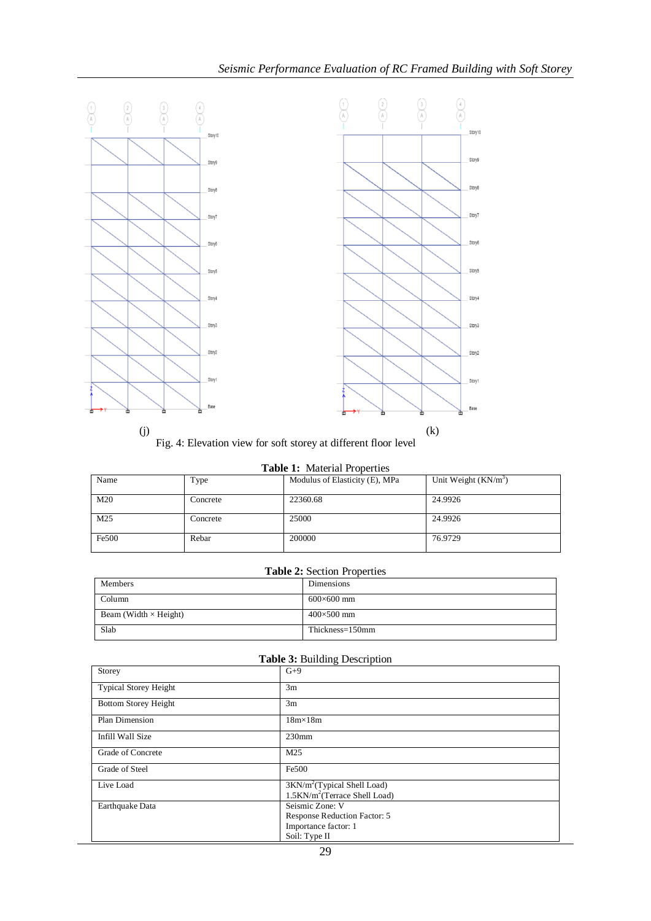

Fig. 4: Elevation view for soft storey at different floor level

| rubic 1: Material Properties |          |                                |                        |  |  |
|------------------------------|----------|--------------------------------|------------------------|--|--|
| Name                         | Type     | Modulus of Elasticity (E), MPa | Unit Weight $(KN/m^3)$ |  |  |
| M20                          | Concrete | 22360.68                       | 24.9926                |  |  |
| M25                          | Concrete | 25000                          | 24.9926                |  |  |
| Fe500                        | Rebar    | 200000                         | 76.9729                |  |  |

## **Table 2:** Section Properties

| Members                      | Dimensions        |
|------------------------------|-------------------|
| Column                       | $600\times600$ mm |
| Beam (Width $\times$ Height) | $400\times500$ mm |
| Slab                         | Thickness=150mm   |

## **Table 3:** Building Description

| Storey                       | $G+9$                                                                                    |
|------------------------------|------------------------------------------------------------------------------------------|
| <b>Typical Storey Height</b> | 3m                                                                                       |
| <b>Bottom Storey Height</b>  | 3m                                                                                       |
| Plan Dimension               | $18m \times 18m$                                                                         |
| Infill Wall Size             | $230$ mm                                                                                 |
| Grade of Concrete            | M25                                                                                      |
| Grade of Steel               | Fe500                                                                                    |
| Live Load                    | $3KN/m^2$ (Typical Shell Load)<br>1.5KN/m <sup>2</sup> (Terrace Shell Load)              |
| Earthquake Data              | Seismic Zone: V<br>Response Reduction Factor: 5<br>Importance factor: 1<br>Soil: Type II |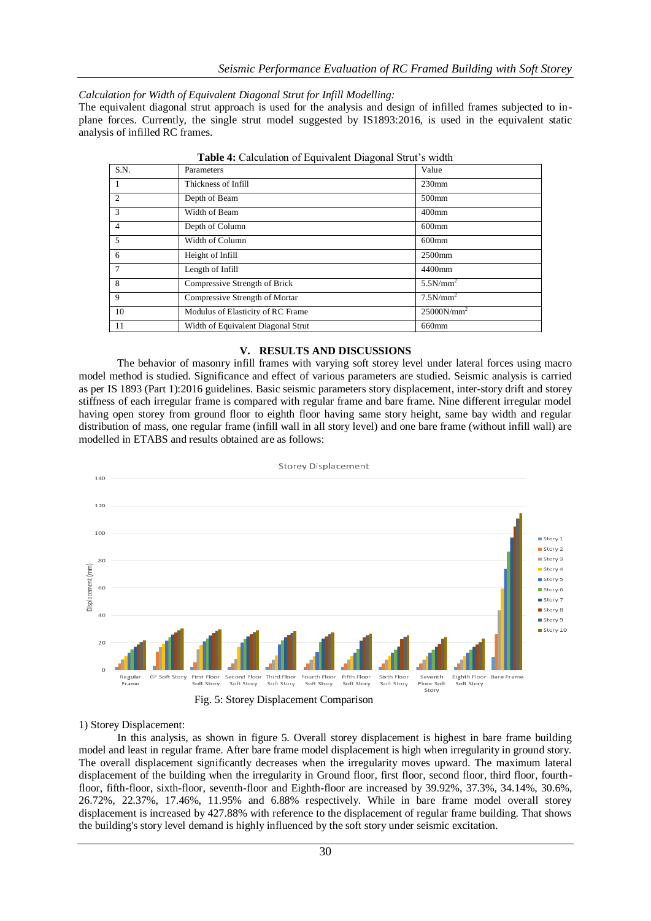*Calculation for Width of Equivalent Diagonal Strut for Infill Modelling:*

The equivalent diagonal strut approach is used for the analysis and design of infilled frames subjected to inplane forces. Currently, the single strut model suggested by IS1893:2016, is used in the equivalent static analysis of infilled RC frames.

| S.N.           | Parameters                         | Value                |  |  |
|----------------|------------------------------------|----------------------|--|--|
| $\overline{1}$ | Thickness of Infill                | $230$ mm             |  |  |
| $\overline{2}$ | Depth of Beam                      | 500mm                |  |  |
| 3              | Width of Beam                      | $400$ mm             |  |  |
| $\overline{4}$ | Depth of Column                    | $600$ mm             |  |  |
| 5              | Width of Column                    | $600$ mm             |  |  |
| 6              | Height of Infill                   | 2500mm               |  |  |
| $\overline{7}$ | Length of Infill                   | 4400mm               |  |  |
| 8              | Compressive Strength of Brick      | 5.5N/mm <sup>2</sup> |  |  |
| 9              | Compressive Strength of Mortar     | 7.5N/mm <sup>2</sup> |  |  |
| 10             | Modulus of Elasticity of RC Frame  | $25000N/mm^2$        |  |  |
| 11             | Width of Equivalent Diagonal Strut | 660mm                |  |  |

**Table 4:** Calculation of Equivalent Diagonal Strut's width

## **V. RESULTS AND DISCUSSIONS**

The behavior of masonry infill frames with varying soft storey level under lateral forces using macro model method is studied. Significance and effect of various parameters are studied. Seismic analysis is carried as per IS 1893 (Part 1):2016 guidelines. Basic seismic parameters story displacement, inter-story drift and storey stiffness of each irregular frame is compared with regular frame and bare frame. Nine different irregular model having open storey from ground floor to eighth floor having same story height, same bay width and regular distribution of mass, one regular frame (infill wall in all story level) and one bare frame (without infill wall) are modelled in ETABS and results obtained are as follows:



#### 1) Storey Displacement:

In this analysis, as shown in figure 5. Overall storey displacement is highest in bare frame building model and least in regular frame. After bare frame model displacement is high when irregularity in ground story. The overall displacement significantly decreases when the irregularity moves upward. The maximum lateral displacement of the building when the irregularity in Ground floor, first floor, second floor, third floor, fourthfloor, fifth-floor, sixth-floor, seventh-floor and Eighth-floor are increased by 39.92%, 37.3%, 34.14%, 30.6%, 26.72%, 22.37%, 17.46%, 11.95% and 6.88% respectively. While in bare frame model overall storey displacement is increased by 427.88% with reference to the displacement of regular frame building. That shows the building's story level demand is highly influenced by the soft story under seismic excitation.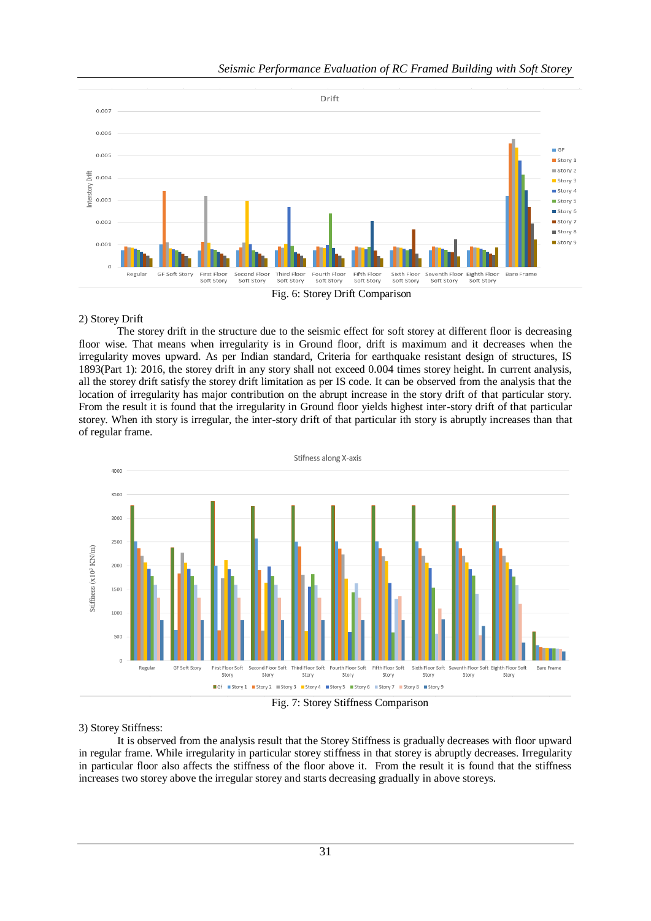

## 2) Storey Drift

The storey drift in the structure due to the seismic effect for soft storey at different floor is decreasing floor wise. That means when irregularity is in Ground floor, drift is maximum and it decreases when the irregularity moves upward. As per Indian standard, Criteria for earthquake resistant design of structures, IS 1893(Part 1): 2016, the storey drift in any story shall not exceed 0.004 times storey height. In current analysis, all the storey drift satisfy the storey drift limitation as per IS code. It can be observed from the analysis that the location of irregularity has major contribution on the abrupt increase in the story drift of that particular story. From the result it is found that the irregularity in Ground floor yields highest inter-story drift of that particular storey. When ith story is irregular, the inter-story drift of that particular ith story is abruptly increases than that of regular frame.



#### 3) Storey Stiffness:

It is observed from the analysis result that the Storey Stiffness is gradually decreases with floor upward in regular frame. While irregularity in particular storey stiffness in that storey is abruptly decreases. Irregularity in particular floor also affects the stiffness of the floor above it. From the result it is found that the stiffness increases two storey above the irregular storey and starts decreasing gradually in above storeys.